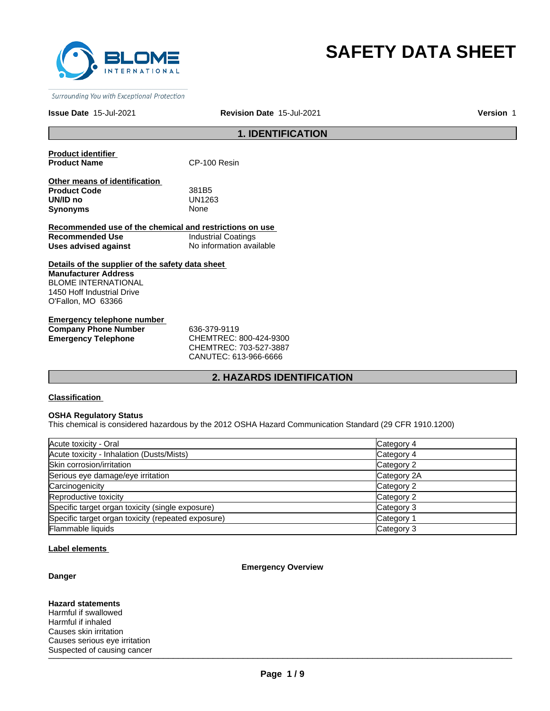

# **SAFETY DATA SHEET**

Surrounding You with Exceptional Protection

**Issue Date** 15-Jul-2021

**Revision Date** 15-Jul-2021 **Version** 1

# **1. IDENTIFICATION**

| <b>Product identifier</b> |      |
|---------------------------|------|
| <b>Product Name</b>       | CP-1 |

**100 Resin** 

| Other means of identification |                   |  |
|-------------------------------|-------------------|--|
| <b>Product Code</b>           | 381B <sub>5</sub> |  |
| UN/ID no                      | UN1263            |  |
| Synonyms                      | None              |  |
|                               |                   |  |

|                      | Recommended use of the chemical and restrictions on use |
|----------------------|---------------------------------------------------------|
| Recommended Use      | Industrial Coatings                                     |
| Uses advised against | No information available                                |

# **Details of the supplier of the safety data sheet Manufacturer Address** BLOME INTERNATIONAL 1450 Hoff Industrial Drive O'Fallon, MO 63366

| Emergency telephone number  |                        |
|-----------------------------|------------------------|
| <b>Company Phone Number</b> | 636-379-9119           |
| <b>Emergency Telephone</b>  | CHEMTREC: 800-424-9300 |
|                             | CUTMTDFC. 702.722.002  |

CHEMTREC: 703-527-3887 CANUTEC: 613-966-6666

# **2. HAZARDS IDENTIFICATION**

# **Classification**

# **OSHA Regulatory Status**

This chemical is considered hazardous by the 2012 OSHA Hazard Communication Standard (29 CFR 1910.1200)

| Acute toxicity - Oral                              | Category 4  |
|----------------------------------------------------|-------------|
| Acute toxicity - Inhalation (Dusts/Mists)          | Category 4  |
| Skin corrosion/irritation                          | Category 2  |
| Serious eye damage/eye irritation                  | Category 2A |
| Carcinogenicity                                    | Category 2  |
| Reproductive toxicity                              | Category 2  |
| Specific target organ toxicity (single exposure)   | Category 3  |
| Specific target organ toxicity (repeated exposure) | Category 1  |
| Flammable liquids                                  | Category 3  |

#### **Label elements**

#### **Emergency Overview**

## **Danger**

\_\_\_\_\_\_\_\_\_\_\_\_\_\_\_\_\_\_\_\_\_\_\_\_\_\_\_\_\_\_\_\_\_\_\_\_\_\_\_\_\_\_\_\_\_\_\_\_\_\_\_\_\_\_\_\_\_\_\_\_\_\_\_\_\_\_\_\_\_\_\_\_\_\_\_\_\_\_\_\_\_\_\_\_\_\_\_\_\_\_\_\_\_ Suspected of causing cancer **Hazard statements** Harmful if swallowed Harmful if inhaled Causes skin irritation Causes serious eye irritation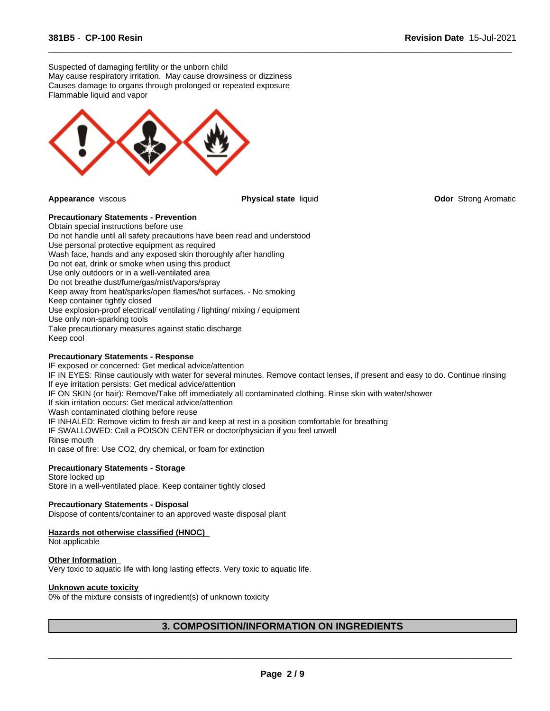Suspected of damaging fertility or the unborn child May cause respiratory irritation. May cause drowsiness or dizziness Causes damage to organs through prolonged or repeated exposure Flammable liquid and vapor



 $\overline{\phantom{a}}$  ,  $\overline{\phantom{a}}$  ,  $\overline{\phantom{a}}$  ,  $\overline{\phantom{a}}$  ,  $\overline{\phantom{a}}$  ,  $\overline{\phantom{a}}$  ,  $\overline{\phantom{a}}$  ,  $\overline{\phantom{a}}$  ,  $\overline{\phantom{a}}$  ,  $\overline{\phantom{a}}$  ,  $\overline{\phantom{a}}$  ,  $\overline{\phantom{a}}$  ,  $\overline{\phantom{a}}$  ,  $\overline{\phantom{a}}$  ,  $\overline{\phantom{a}}$  ,  $\overline{\phantom{a}}$ 

**Appearance** viscous **Physical state** liquid **Odor** Strong Aromatic

# **Precautionary Statements - Prevention**

Obtain special instructions before use Do not handle until all safety precautions have been read and understood Use personal protective equipment as required Wash face, hands and any exposed skin thoroughly after handling Do not eat, drink or smoke when using this product Use only outdoors or in a well-ventilated area Do not breathe dust/fume/gas/mist/vapors/spray Keep away from heat/sparks/open flames/hot surfaces. - No smoking Keep container tightly closed Use explosion-proof electrical/ ventilating / lighting/ mixing / equipment Use only non-sparking tools Take precautionary measures against static discharge Keep cool

#### **Precautionary Statements - Response**

IF exposed or concerned: Get medical advice/attention IF IN EYES: Rinse cautiously with water for several minutes. Remove contact lenses, if present and easy to do. Continue rinsing If eye irritation persists: Get medical advice/attention IF ON SKIN (or hair): Remove/Take off immediately all contaminated clothing. Rinse skin with water/shower If skin irritation occurs: Get medical advice/attention Wash contaminated clothing before reuse IF INHALED: Remove victim to fresh air and keep at rest in a position comfortable for breathing IF SWALLOWED: Call a POISON CENTER or doctor/physician if you feel unwell Rinse mouth In case of fire: Use CO2, dry chemical, or foam for extinction

#### **Precautionary Statements - Storage**

Store locked up Store in a well-ventilated place. Keep container tightly closed

#### **Precautionary Statements - Disposal**

Dispose of contents/container to an approved waste disposal plant

#### **Hazards not otherwise classified (HNOC)**

Not applicable

#### **Other Information**

Very toxic to aquatic life with long lasting effects. Very toxic to aquatic life.

#### **Unknown acute toxicity**

0% of the mixture consists of ingredient(s) of unknown toxicity

# **3. COMPOSITION/INFORMATION ON INGREDIENTS**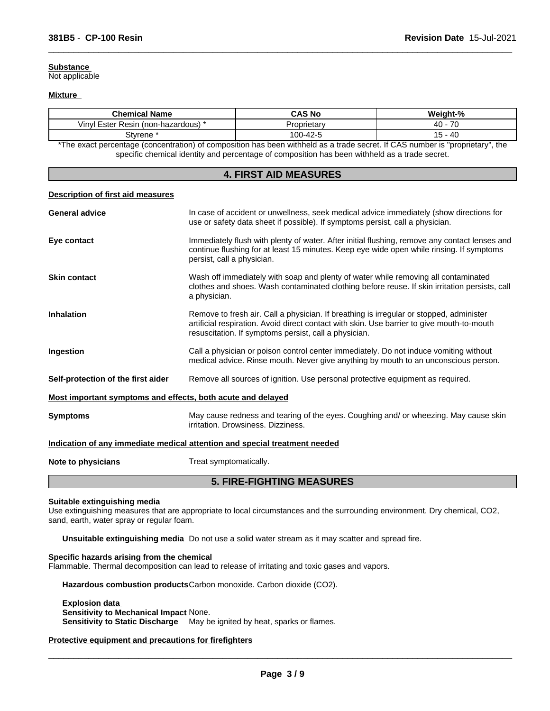## **Substance**

Not applicable

## **Mixture**

| <b>Chemical Name</b>                                                                                                          | <b>CAS No</b> | Weight-%  |  |  |
|-------------------------------------------------------------------------------------------------------------------------------|---------------|-----------|--|--|
| Vinyl Ester Resin (non-hazardous) *                                                                                           | Proprietarv   | $40 - 70$ |  |  |
| 100-42-5<br>15 - 40<br>Stvrene <sup>:</sup>                                                                                   |               |           |  |  |
| *The exact percentage (concentration) of composition has been withheld as a trade secret. If CAS number is "proprietary", the |               |           |  |  |

 $\overline{\phantom{a}}$  ,  $\overline{\phantom{a}}$  ,  $\overline{\phantom{a}}$  ,  $\overline{\phantom{a}}$  ,  $\overline{\phantom{a}}$  ,  $\overline{\phantom{a}}$  ,  $\overline{\phantom{a}}$  ,  $\overline{\phantom{a}}$  ,  $\overline{\phantom{a}}$  ,  $\overline{\phantom{a}}$  ,  $\overline{\phantom{a}}$  ,  $\overline{\phantom{a}}$  ,  $\overline{\phantom{a}}$  ,  $\overline{\phantom{a}}$  ,  $\overline{\phantom{a}}$  ,  $\overline{\phantom{a}}$ 

specific chemical identity and percentage of composition has been withheld as a trade secret.

# **4. FIRST AID MEASURES**

#### **Description of first aid measures**

| <b>General advice</b>                                                      | In case of accident or unwellness, seek medical advice immediately (show directions for<br>use or safety data sheet if possible). If symptoms persist, call a physician.                                                                       |  |
|----------------------------------------------------------------------------|------------------------------------------------------------------------------------------------------------------------------------------------------------------------------------------------------------------------------------------------|--|
| Eye contact                                                                | Immediately flush with plenty of water. After initial flushing, remove any contact lenses and<br>continue flushing for at least 15 minutes. Keep eye wide open while rinsing. If symptoms<br>persist, call a physician.                        |  |
| <b>Skin contact</b>                                                        | Wash off immediately with soap and plenty of water while removing all contaminated<br>clothes and shoes. Wash contaminated clothing before reuse. If skin irritation persists, call<br>a physician.                                            |  |
| <b>Inhalation</b>                                                          | Remove to fresh air. Call a physician. If breathing is irregular or stopped, administer<br>artificial respiration. Avoid direct contact with skin. Use barrier to give mouth-to-mouth<br>resuscitation. If symptoms persist, call a physician. |  |
| Ingestion                                                                  | Call a physician or poison control center immediately. Do not induce vomiting without<br>medical advice. Rinse mouth. Never give anything by mouth to an unconscious person.                                                                   |  |
| Self-protection of the first aider                                         | Remove all sources of ignition. Use personal protective equipment as required.                                                                                                                                                                 |  |
| Most important symptoms and effects, both acute and delayed                |                                                                                                                                                                                                                                                |  |
| <b>Symptoms</b>                                                            | May cause redness and tearing of the eyes. Coughing and/ or wheezing. May cause skin<br>irritation. Drowsiness. Dizziness.                                                                                                                     |  |
| Indication of any immediate medical attention and special treatment needed |                                                                                                                                                                                                                                                |  |
| Note to physicians                                                         | Treat symptomatically.                                                                                                                                                                                                                         |  |

# **5. FIRE-FIGHTING MEASURES**

#### **Suitable extinguishing media**

Use extinguishing measures that are appropriate to local circumstances and the surrounding environment. Dry chemical, CO2, sand, earth, water spray or regular foam.

**Unsuitable extinguishing media** Do not use a solid water stream as it may scatter and spread fire.

# **Specific hazards arising from the chemical**

Flammable. Thermal decomposition can lead to release of irritating and toxic gases and vapors.

**Hazardous combustion products**Carbon monoxide. Carbon dioxide (CO2).

#### **Explosion data**

**Sensitivity to Mechanical Impact** None.

**Sensitivity to Static Discharge** May be ignited by heat, sparks or flames.

**Protective equipment and precautions for firefighters**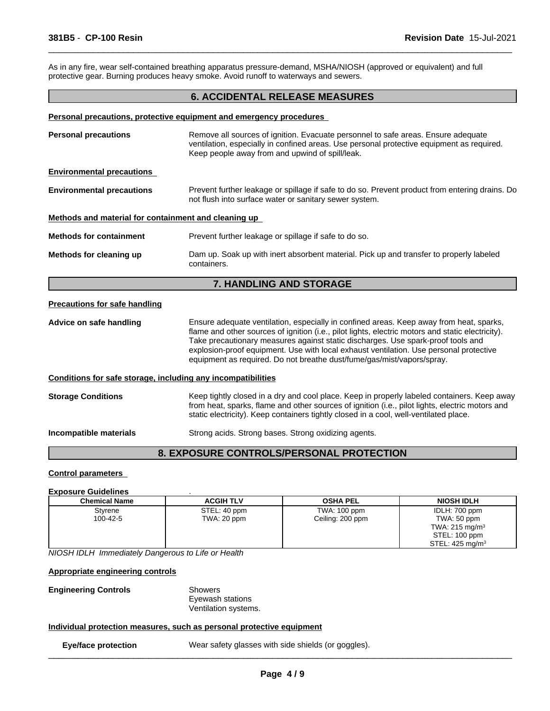As in any fire, wear self-contained breathing apparatus pressure-demand, MSHA/NIOSH (approved or equivalent) and full protective gear. Burning produces heavy smoke. Avoid runoff to waterways and sewers.

# **6. ACCIDENTAL RELEASE MEASURES**

 $\overline{\phantom{a}}$  ,  $\overline{\phantom{a}}$  ,  $\overline{\phantom{a}}$  ,  $\overline{\phantom{a}}$  ,  $\overline{\phantom{a}}$  ,  $\overline{\phantom{a}}$  ,  $\overline{\phantom{a}}$  ,  $\overline{\phantom{a}}$  ,  $\overline{\phantom{a}}$  ,  $\overline{\phantom{a}}$  ,  $\overline{\phantom{a}}$  ,  $\overline{\phantom{a}}$  ,  $\overline{\phantom{a}}$  ,  $\overline{\phantom{a}}$  ,  $\overline{\phantom{a}}$  ,  $\overline{\phantom{a}}$ 

#### **Personal precautions, protective equipment and emergency procedures**

| <b>Personal precautions</b>                                  | Remove all sources of ignition. Evacuate personnel to safe areas. Ensure adequate<br>ventilation, especially in confined areas. Use personal protective equipment as required.<br>Keep people away from and upwind of spill/leak.                                                                                                                                                                                                                    |
|--------------------------------------------------------------|------------------------------------------------------------------------------------------------------------------------------------------------------------------------------------------------------------------------------------------------------------------------------------------------------------------------------------------------------------------------------------------------------------------------------------------------------|
| <b>Environmental precautions</b>                             |                                                                                                                                                                                                                                                                                                                                                                                                                                                      |
| <b>Environmental precautions</b>                             | Prevent further leakage or spillage if safe to do so. Prevent product from entering drains. Do<br>not flush into surface water or sanitary sewer system.                                                                                                                                                                                                                                                                                             |
| Methods and material for containment and cleaning up         |                                                                                                                                                                                                                                                                                                                                                                                                                                                      |
| <b>Methods for containment</b>                               | Prevent further leakage or spillage if safe to do so.                                                                                                                                                                                                                                                                                                                                                                                                |
| Methods for cleaning up                                      | Dam up. Soak up with inert absorbent material. Pick up and transfer to properly labeled<br>containers.                                                                                                                                                                                                                                                                                                                                               |
|                                                              | 7. HANDLING AND STORAGE                                                                                                                                                                                                                                                                                                                                                                                                                              |
| <b>Precautions for safe handling</b>                         |                                                                                                                                                                                                                                                                                                                                                                                                                                                      |
| Advice on safe handling                                      | Ensure adequate ventilation, especially in confined areas. Keep away from heat, sparks,<br>flame and other sources of ignition (i.e., pilot lights, electric motors and static electricity).<br>Take precautionary measures against static discharges. Use spark-proof tools and<br>explosion-proof equipment. Use with local exhaust ventilation. Use personal protective<br>equipment as required. Do not breathe dust/fume/gas/mist/vapors/spray. |
| Conditions for safe storage, including any incompatibilities |                                                                                                                                                                                                                                                                                                                                                                                                                                                      |
| <b>Storage Conditions</b>                                    | Keep tightly closed in a dry and cool place. Keep in properly labeled containers. Keep away<br>from heat, sparks, flame and other sources of ignition (i.e., pilot lights, electric motors and<br>static electricity). Keep containers tightly closed in a cool, well-ventilated place.                                                                                                                                                              |
| Incompatible materials                                       | Strong acids. Strong bases. Strong oxidizing agents.                                                                                                                                                                                                                                                                                                                                                                                                 |
|                                                              |                                                                                                                                                                                                                                                                                                                                                                                                                                                      |

# **8. EXPOSURE CONTROLS/PERSONAL PROTECTION**

### **Control parameters**

#### **Exposure Guidelines** .

| <b>Chemical Name</b> | <b>ACGIH TLV</b> | <b>OSHA PEL</b>  | <b>NIOSH IDLH</b>         |
|----------------------|------------------|------------------|---------------------------|
| Styrene              | STEL: 40 ppm     | TWA: 100 ppm     | IDLH: 700 ppm             |
| 100-42-5             | TWA: 20 ppm      | Ceiling: 200 ppm | TWA: 50 ppm               |
|                      |                  |                  | TWA: $215 \text{ mg/m}^3$ |
|                      |                  |                  | STEL: 100 ppm             |
|                      |                  |                  | STEL: 425 mg/m $3$        |

*NIOSH IDLH Immediately Dangerous to Life or Health*

**Appropriate engineering controls**

**Engineering Controls** Showers

Eyewash stations Ventilation systems.

# **Individual protection measures, such as personal protective equipment**

**Eye/face protection** Wear safety glasses with side shields (or goggles).  $\_$  ,  $\_$  ,  $\_$  ,  $\_$  ,  $\_$  ,  $\_$  ,  $\_$  ,  $\_$  ,  $\_$  ,  $\_$  ,  $\_$  ,  $\_$  ,  $\_$  ,  $\_$  ,  $\_$  ,  $\_$  ,  $\_$  ,  $\_$  ,  $\_$  ,  $\_$  ,  $\_$  ,  $\_$  ,  $\_$  ,  $\_$  ,  $\_$  ,  $\_$  ,  $\_$  ,  $\_$  ,  $\_$  ,  $\_$  ,  $\_$  ,  $\_$  ,  $\_$  ,  $\_$  ,  $\_$  ,  $\_$  ,  $\_$  ,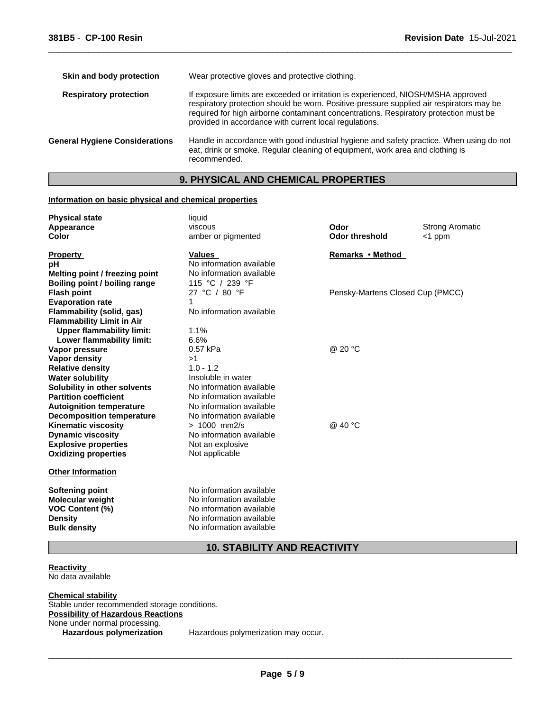| If exposure limits are exceeded or irritation is experienced, NIOSH/MSHA approved<br><b>Respiratory protection</b><br>respiratory protection should be worn. Positive-pressure supplied air respirators may be<br>required for high airborne contaminant concentrations. Respiratory protection must be |  |
|---------------------------------------------------------------------------------------------------------------------------------------------------------------------------------------------------------------------------------------------------------------------------------------------------------|--|
| provided in accordance with current local regulations.                                                                                                                                                                                                                                                  |  |
| Handle in accordance with good industrial hygiene and safety practice. When using do not<br><b>General Hygiene Considerations</b><br>eat, drink or smoke. Regular cleaning of equipment, work area and clothing is<br>recommended.                                                                      |  |

 $\overline{\phantom{a}}$  ,  $\overline{\phantom{a}}$  ,  $\overline{\phantom{a}}$  ,  $\overline{\phantom{a}}$  ,  $\overline{\phantom{a}}$  ,  $\overline{\phantom{a}}$  ,  $\overline{\phantom{a}}$  ,  $\overline{\phantom{a}}$  ,  $\overline{\phantom{a}}$  ,  $\overline{\phantom{a}}$  ,  $\overline{\phantom{a}}$  ,  $\overline{\phantom{a}}$  ,  $\overline{\phantom{a}}$  ,  $\overline{\phantom{a}}$  ,  $\overline{\phantom{a}}$  ,  $\overline{\phantom{a}}$ 

# **9. PHYSICAL AND CHEMICAL PROPERTIES**

# **Information on basic physical and chemical properties**

| <b>Physical state</b><br>Appearance<br><b>Color</b>                                    | liquid<br>viscous<br>amber or pigmented                                                                      | Odor<br><b>Odor threshold</b>    | <b>Strong Aromatic</b><br>$<$ 1 ppm |
|----------------------------------------------------------------------------------------|--------------------------------------------------------------------------------------------------------------|----------------------------------|-------------------------------------|
| <b>Property</b>                                                                        | <b>Values</b>                                                                                                | Remarks • Method                 |                                     |
| рH                                                                                     | No information available                                                                                     |                                  |                                     |
| Melting point / freezing point                                                         | No information available                                                                                     |                                  |                                     |
| <b>Boiling point / boiling range</b>                                                   | 115 °C / 239 °F                                                                                              |                                  |                                     |
| <b>Flash point</b>                                                                     | 27 °C / 80 °F<br>1                                                                                           | Pensky-Martens Closed Cup (PMCC) |                                     |
| <b>Evaporation rate</b><br><b>Flammability (solid, gas)</b>                            | No information available                                                                                     |                                  |                                     |
| <b>Flammability Limit in Air</b>                                                       |                                                                                                              |                                  |                                     |
| <b>Upper flammability limit:</b>                                                       | 1.1%                                                                                                         |                                  |                                     |
| Lower flammability limit:                                                              | 6.6%                                                                                                         |                                  |                                     |
| Vapor pressure                                                                         | 0.57 kPa                                                                                                     | @ 20 °C                          |                                     |
| <b>Vapor density</b>                                                                   | >1                                                                                                           |                                  |                                     |
| <b>Relative density</b>                                                                | $1.0 - 1.2$                                                                                                  |                                  |                                     |
| <b>Water solubility</b>                                                                | Insoluble in water                                                                                           |                                  |                                     |
| Solubility in other solvents                                                           | No information available                                                                                     |                                  |                                     |
| <b>Partition coefficient</b>                                                           | No information available                                                                                     |                                  |                                     |
| <b>Autoignition temperature</b>                                                        | No information available                                                                                     |                                  |                                     |
| <b>Decomposition temperature</b>                                                       | No information available                                                                                     |                                  |                                     |
| <b>Kinematic viscosity</b>                                                             | $> 1000$ mm2/s                                                                                               | @ 40 °C                          |                                     |
| <b>Dynamic viscosity</b>                                                               | No information available                                                                                     |                                  |                                     |
| <b>Explosive properties</b>                                                            | Not an explosive                                                                                             |                                  |                                     |
| <b>Oxidizing properties</b>                                                            | Not applicable                                                                                               |                                  |                                     |
| <b>Other Information</b>                                                               |                                                                                                              |                                  |                                     |
| Softening point<br><b>Molecular weight</b><br><b>VOC Content (%)</b><br><b>Density</b> | No information available<br>No information available<br>No information available<br>No information available |                                  |                                     |
| <b>Bulk density</b>                                                                    | No information available                                                                                     |                                  |                                     |

**10. STABILITY AND REACTIVITY**

# **Reactivity**  No data available

**Chemical stability** Stable under recommended storage conditions. **Possibility of Hazardous Reactions** None under normal processing. **Hazardous polymerization** Hazardous polymerization may occur.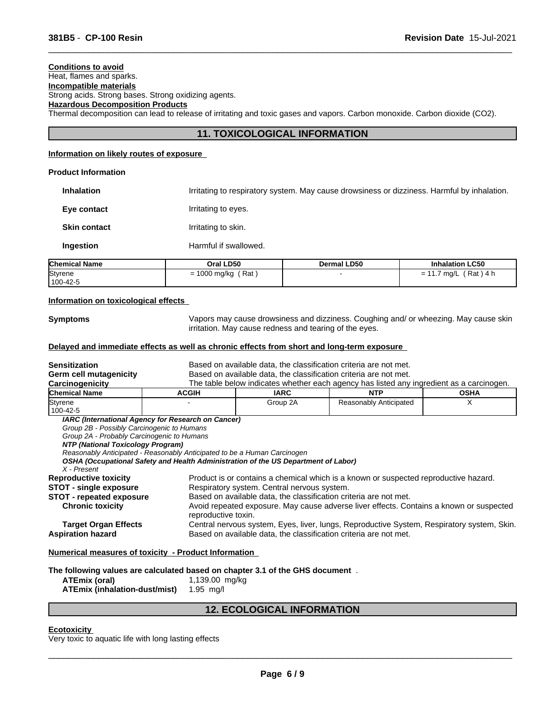# **Conditions to avoid**

Heat, flames and sparks. **Incompatible materials**

Strong acids. Strong bases. Strong oxidizing agents.

# **Hazardous Decomposition Products**

Thermal decomposition can lead to release of irritating and toxic gases and vapors. Carbon monoxide. Carbon dioxide (CO2).

# **11. TOXICOLOGICAL INFORMATION**

 $\overline{\phantom{a}}$  ,  $\overline{\phantom{a}}$  ,  $\overline{\phantom{a}}$  ,  $\overline{\phantom{a}}$  ,  $\overline{\phantom{a}}$  ,  $\overline{\phantom{a}}$  ,  $\overline{\phantom{a}}$  ,  $\overline{\phantom{a}}$  ,  $\overline{\phantom{a}}$  ,  $\overline{\phantom{a}}$  ,  $\overline{\phantom{a}}$  ,  $\overline{\phantom{a}}$  ,  $\overline{\phantom{a}}$  ,  $\overline{\phantom{a}}$  ,  $\overline{\phantom{a}}$  ,  $\overline{\phantom{a}}$ 

# **Information on likely routes of exposure**

#### **Product Information**

**Inhalation** Irritating to respiratory system. May cause drowsiness or dizziness. Harmful by inhalation. **Eye contact I**rritating to eyes. **Skin contact I**rritating to skin. **Ingestion Harmful if swallowed.** 

| <b>Chemical Name</b> | Oral LD50                             | <b>Dermal LD50</b> | <b>Inhalation LC50</b>     |
|----------------------|---------------------------------------|--------------------|----------------------------|
| Styrene<br>100-42-5  | Rat<br>$\sim$<br>1000 mg/kg<br>-<br>- |                    | Rat,<br>\ 4 h<br>ma/L<br>- |

#### **Information on toxicological effects**

**Symptoms** Vapors may cause drowsiness and dizziness. Coughing and/ or wheezing. May cause skin irritation. May cause redness and tearing of the eyes.

# **Delayed and immediate effects as well as chronic effects from short and long-term exposure**

| <b>Sensitization</b><br>Germ cell mutagenicity                                     | Based on available data, the classification criteria are not met.<br>Based on available data, the classification criteria are not met. |                                                                                          |                                                                                      |             |  |  |
|------------------------------------------------------------------------------------|----------------------------------------------------------------------------------------------------------------------------------------|------------------------------------------------------------------------------------------|--------------------------------------------------------------------------------------|-------------|--|--|
| Carcinogenicity                                                                    |                                                                                                                                        | The table below indicates whether each agency has listed any ingredient as a carcinogen. |                                                                                      |             |  |  |
| <b>Chemical Name</b>                                                               | <b>ACGIH</b>                                                                                                                           | <b>IARC</b>                                                                              | <b>NTP</b>                                                                           | <b>OSHA</b> |  |  |
| Styrene                                                                            |                                                                                                                                        | Group 2A                                                                                 | Reasonably Anticipated                                                               |             |  |  |
| 100-42-5                                                                           |                                                                                                                                        |                                                                                          |                                                                                      |             |  |  |
| IARC (International Agency for Research on Cancer)                                 |                                                                                                                                        |                                                                                          |                                                                                      |             |  |  |
| Group 2B - Possibly Carcinogenic to Humans                                         |                                                                                                                                        |                                                                                          |                                                                                      |             |  |  |
| Group 2A - Probably Carcinogenic to Humans                                         |                                                                                                                                        |                                                                                          |                                                                                      |             |  |  |
| NTP (National Toxicology Program)                                                  |                                                                                                                                        |                                                                                          |                                                                                      |             |  |  |
| Reasonably Anticipated - Reasonably Anticipated to be a Human Carcinogen           |                                                                                                                                        |                                                                                          |                                                                                      |             |  |  |
| OSHA (Occupational Safety and Health Administration of the US Department of Labor) |                                                                                                                                        |                                                                                          |                                                                                      |             |  |  |
| X - Present                                                                        |                                                                                                                                        |                                                                                          |                                                                                      |             |  |  |
| <b>Reproductive toxicity</b>                                                       |                                                                                                                                        |                                                                                          | Product is or contains a chemical which is a known or suspected reproductive hazard. |             |  |  |
| $CTAT$ single evening                                                              |                                                                                                                                        | Bennisotony ovetom Control nonvous ovetom                                                |                                                                                      |             |  |  |

**STOT - single exposure** Respiratory system. Central nervous system.

**STOT - repeated exposure** Based on available data, the classification criteria are not met.

**Chronic toxicity** Avoid repeated exposure. May cause adverse liver effects. Contains a known or suspected reproductive toxin.

**Target Organ Effects** Central nervous system, Eyes, liver, lungs, Reproductive System, Respiratory system, Skin. **Aspiration hazard** Based on available data, the classification criteria are not met.

# **Numerical measures of toxicity - Product Information**

**The following values are calculated based on chapter 3.1 of the GHS document** .

**ATEmix (oral)** 1,139.00 mg/kg **ATEmix (inhalation-dust/mist)** 1.95 mg/l

# **12. ECOLOGICAL INFORMATION**

#### **Ecotoxicity**

Very toxic to aquatic life with long lasting effects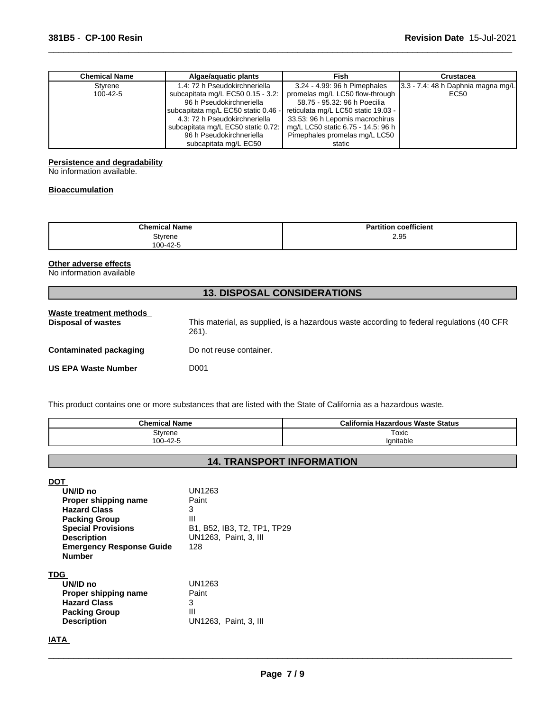| <b>Chemical Name</b> | Algae/aguatic plants                | Fish                                | Crustacea                               |
|----------------------|-------------------------------------|-------------------------------------|-----------------------------------------|
| Styrene              | 1.4: 72 h Pseudokirchneriella       | 3.24 - 4.99: 96 h Pimephales        | $ 3.3 - 7.4 $ : 48 h Daphnia magna mg/L |
| $100 - 42 - 5$       | subcapitata mg/L EC50 0.15 - 3.2:   | promelas mg/L LC50 flow-through     | EC50                                    |
|                      | 96 h Pseudokirchneriella            | 58.75 - 95.32: 96 h Poecilia        |                                         |
|                      | subcapitata mg/L EC50 static 0.46 - | reticulata mg/L LC50 static 19.03 - |                                         |
|                      | 4.3: 72 h Pseudokirchneriella       | 33.53: 96 h Lepomis macrochirus     |                                         |
|                      | subcapitata mg/L EC50 static 0.72:  | mg/L LC50 static 6.75 - 14.5: 96 h  |                                         |
|                      | 96 h Pseudokirchneriella            | Pimephales promelas mg/L LC50       |                                         |
|                      | subcapitata mg/L EC50               | static                              |                                         |

 $\overline{\phantom{a}}$  ,  $\overline{\phantom{a}}$  ,  $\overline{\phantom{a}}$  ,  $\overline{\phantom{a}}$  ,  $\overline{\phantom{a}}$  ,  $\overline{\phantom{a}}$  ,  $\overline{\phantom{a}}$  ,  $\overline{\phantom{a}}$  ,  $\overline{\phantom{a}}$  ,  $\overline{\phantom{a}}$  ,  $\overline{\phantom{a}}$  ,  $\overline{\phantom{a}}$  ,  $\overline{\phantom{a}}$  ,  $\overline{\phantom{a}}$  ,  $\overline{\phantom{a}}$  ,  $\overline{\phantom{a}}$ 

# **Persistence and degradability**

No information available.

# **Bioaccumulation**

| Chemical.           | coefficient |
|---------------------|-------------|
| ' Name              | $  -$       |
| Styrene<br>100-42-5 | 2.95        |

# **Other adverse effects**

No information available

| <b>13. DISPOSAL CONSIDERATIONS</b>                   |                                                                                                    |  |
|------------------------------------------------------|----------------------------------------------------------------------------------------------------|--|
| Waste treatment methods<br><b>Disposal of wastes</b> | This material, as supplied, is a hazardous waste according to federal regulations (40 CFR<br>261). |  |
| <b>Contaminated packaging</b>                        | Do not reuse container.                                                                            |  |
| <b>US EPA Waste Number</b>                           | D001                                                                                               |  |

This product contains one or more substances that are listed with the State of California as a hazardous waste.

| <b>Chemical Name</b> | California<br>a Hazardous Waste Status |
|----------------------|----------------------------------------|
| Stvrene              | Toxic                                  |
| −42-⊽ر<br>100<br>UU. | Ignitable                              |

# **14. TRANSPORT INFORMATION**

**DOT** 

| UN/ID no                        | UN1263                      |
|---------------------------------|-----------------------------|
| Proper shipping name            | Paint                       |
| <b>Hazard Class</b>             | 3                           |
| <b>Packing Group</b>            | Ш                           |
| <b>Special Provisions</b>       | B1, B52, IB3, T2, TP1, TP29 |
| <b>Description</b>              | UN1263. Paint. 3. III       |
| <b>Emergency Response Guide</b> | 128                         |
| <b>Number</b>                   |                             |
| <b>TDG</b>                      |                             |
| UN/ID no                        | UN1263                      |
| Proper shipping name            | Paint                       |
| <b>Hazard Class</b>             | 3                           |
| <b>Packing Group</b>            | Ш                           |
| <b>Description</b>              | UN1263, Paint, 3, III       |
|                                 |                             |

**IATA**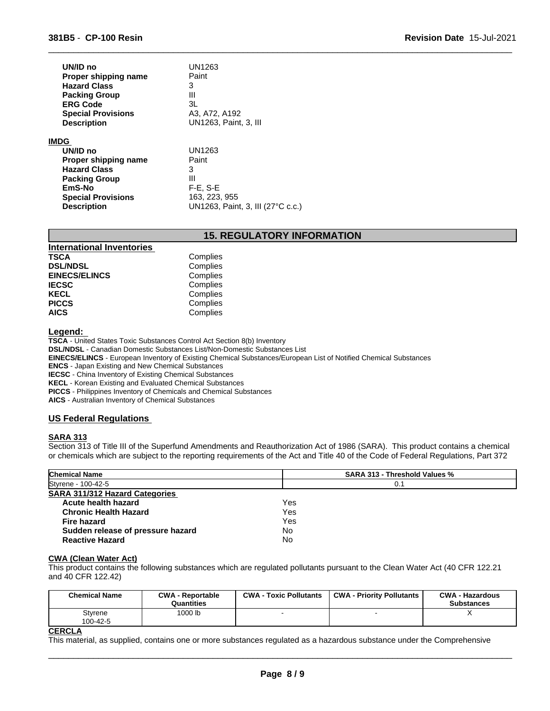| UN/ID no<br>Proper shipping name | UN1263<br>Paint       |
|----------------------------------|-----------------------|
| <b>Hazard Class</b>              | 3                     |
| <b>Packing Group</b>             | Ш                     |
| <b>ERG Code</b>                  | 3L                    |
| <b>Special Provisions</b>        | A3, A72, A192         |
| <b>Description</b>               | UN1263, Paint, 3, III |
| <b>IMDG</b>                      |                       |
| UN/ID no                         | UN1263                |
| Proper shipping name             | Paint                 |
| <b>Hazard Class</b>              | 3                     |
| <b>Packing Group</b>             | Ш                     |
| EmS-No                           | $F-E$ , $S-E$         |
| <b>Special Provisions</b>        | 163, 223, 955         |

**Description** UN1263, Paint, 3, III (27°C c.c.)

# **15. REGULATORY INFORMATION**

 $\overline{\phantom{a}}$  ,  $\overline{\phantom{a}}$  ,  $\overline{\phantom{a}}$  ,  $\overline{\phantom{a}}$  ,  $\overline{\phantom{a}}$  ,  $\overline{\phantom{a}}$  ,  $\overline{\phantom{a}}$  ,  $\overline{\phantom{a}}$  ,  $\overline{\phantom{a}}$  ,  $\overline{\phantom{a}}$  ,  $\overline{\phantom{a}}$  ,  $\overline{\phantom{a}}$  ,  $\overline{\phantom{a}}$  ,  $\overline{\phantom{a}}$  ,  $\overline{\phantom{a}}$  ,  $\overline{\phantom{a}}$ 

| <b>International Inventories</b> |          |  |
|----------------------------------|----------|--|
| <b>TSCA</b>                      | Complies |  |
| <b>DSL/NDSL</b>                  | Complies |  |
| <b>EINECS/ELINCS</b>             | Complies |  |
| <b>IECSC</b>                     | Complies |  |
| <b>KECL</b>                      | Complies |  |
| <b>PICCS</b>                     | Complies |  |
| <b>AICS</b>                      | Complies |  |
|                                  |          |  |

#### **Legend:**

**TSCA** - United States Toxic Substances Control Act Section 8(b) Inventory **DSL/NDSL** - Canadian Domestic Substances List/Non-Domestic Substances List **EINECS/ELINCS** - European Inventory of Existing Chemical Substances/European List of Notified Chemical Substances

**ENCS** - Japan Existing and New Chemical Substances

**IECSC** - China Inventory of Existing Chemical Substances

**KECL** - Korean Existing and Evaluated Chemical Substances

**PICCS** - Philippines Inventory of Chemicals and Chemical Substances

**AICS** - Australian Inventory of Chemical Substances

#### **US Federal Regulations**

#### **SARA 313**

Section 313 of Title III of the Superfund Amendments and Reauthorization Act of 1986 (SARA). This product contains a chemical or chemicals which are subject to the reporting requirements of the Act and Title 40 of the Code of Federal Regulations, Part 372

| <b>Chemical Name</b>                  | <b>SARA 313 - Threshold Values %</b> |
|---------------------------------------|--------------------------------------|
| Styrene - 100-42-5                    | 0.1                                  |
| <b>SARA 311/312 Hazard Categories</b> |                                      |
| Acute health hazard                   | Yes                                  |
| <b>Chronic Health Hazard</b>          | Yes                                  |
| Fire hazard                           | Yes                                  |
| Sudden release of pressure hazard     | No                                   |
| <b>Reactive Hazard</b>                | No                                   |

#### **CWA (Clean Water Act)**

This product contains the following substances which are regulated pollutants pursuant to the Clean Water Act (40 CFR 122.21 and 40 CFR 122.42)

| <b>Chemical Name</b> | <b>CWA - Reportable</b><br>Quantities | <b>CWA - Toxic Pollutants</b> | <b>CWA - Priority Pollutants</b> | <b>CWA - Hazardous</b><br><b>Substances</b> |
|----------------------|---------------------------------------|-------------------------------|----------------------------------|---------------------------------------------|
| Styrene<br>100-42-5  | <sup>1</sup> 000 lb                   |                               |                                  | $\lambda$                                   |

# **CERCLA**

This material, as supplied, contains one or more substances regulated as a hazardous substance under the Comprehensive